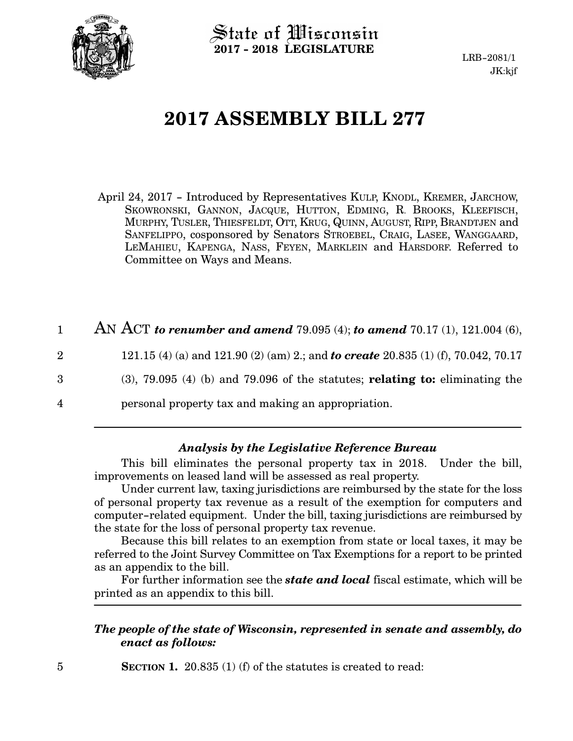

State of Wisconsin **2017 - 2018 LEGISLATURE**

LRB-2081/1 JK:kjf

# **2017 ASSEMBLY BILL 277**

April 24, 2017 - Introduced by Representatives KULP, KNODL, KREMER, JARCHOW, SKOWRONSKI, GANNON, JACQUE, HUTTON, EDMING, R. BROOKS, KLEEFISCH, MURPHY, TUSLER, THIESFELDT, OTT, KRUG, QUINN, AUGUST, RIPP, BRANDTJEN and SANFELIPPO, cosponsored by Senators STROEBEL, CRAIG, LASEE, WANGGAARD, LEMAHIEU, KAPENGA, NASS, FEYEN, MARKLEIN and HARSDORF. Referred to Committee on Ways and Means.

| 1              | AN ACT to renumber and amend 79.095 (4); to amend 70.17 (1), 121.004 (6),                 |
|----------------|-------------------------------------------------------------------------------------------|
| $\overline{2}$ | 121.15 (4) (a) and 121.90 (2) (am) 2.; and <b>to create</b> 20.835 (1) (f), 70.042, 70.17 |
| 3              | $(3)$ , 79.095 $(4)$ (b) and 79.096 of the statutes; <b>relating to:</b> eliminating the  |
| 4              | personal property tax and making an appropriation.                                        |
|                |                                                                                           |

#### *Analysis by the Legislative Reference Bureau*

This bill eliminates the personal property tax in 2018. Under the bill, improvements on leased land will be assessed as real property.

Under current law, taxing jurisdictions are reimbursed by the state for the loss of personal property tax revenue as a result of the exemption for computers and computer-related equipment. Under the bill, taxing jurisdictions are reimbursed by the state for the loss of personal property tax revenue.

Because this bill relates to an exemption from state or local taxes, it may be referred to the Joint Survey Committee on Tax Exemptions for a report to be printed as an appendix to the bill.

For further information see the *state and local* fiscal estimate, which will be printed as an appendix to this bill.

#### *The people of the state of Wisconsin, represented in senate and assembly, do enact as follows:*

**SECTION 1.** 20.835 (1) (f) of the statutes is created to read: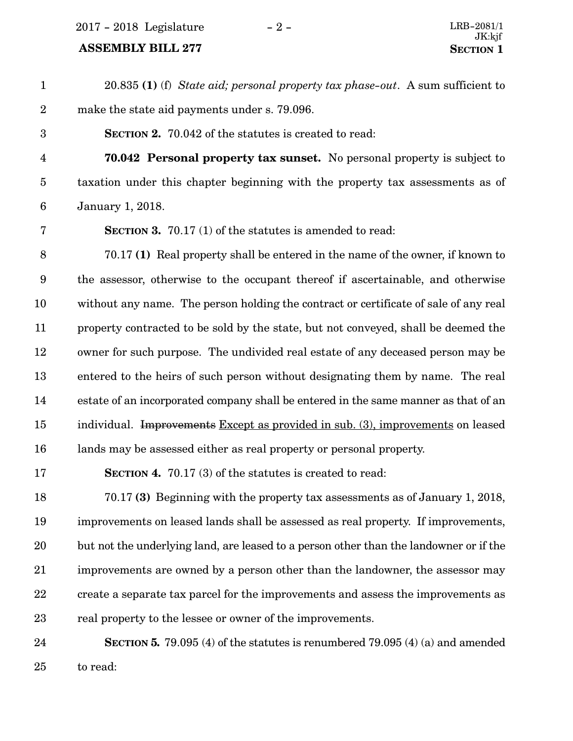2017 - 2018 Legislature - 2 -

### **ASSEMBLY BILL 277**

| $\mathbf{1}$            | 20.835 (1) (f) State aid; personal property tax phase-out. A sum sufficient to         |
|-------------------------|----------------------------------------------------------------------------------------|
| $\boldsymbol{2}$        | make the state aid payments under s. 79.096.                                           |
| $\boldsymbol{3}$        | <b>SECTION 2.</b> 70.042 of the statutes is created to read:                           |
| $\overline{\mathbf{4}}$ | 70.042 Personal property tax sunset. No personal property is subject to                |
| $\bf 5$                 | taxation under this chapter beginning with the property tax assessments as of          |
| $\boldsymbol{6}$        | January 1, 2018.                                                                       |
| 7                       | <b>SECTION 3.</b> 70.17 (1) of the statutes is amended to read:                        |
| $\, 8$                  | 70.17 (1) Real property shall be entered in the name of the owner, if known to         |
| $9\phantom{.0}$         | the assessor, otherwise to the occupant thereof if ascertainable, and otherwise        |
| 10                      | without any name. The person holding the contract or certificate of sale of any real   |
| 11                      | property contracted to be sold by the state, but not conveyed, shall be deemed the     |
| 12                      | owner for such purpose. The undivided real estate of any deceased person may be        |
| 13                      | entered to the heirs of such person without designating them by name. The real         |
| 14                      | estate of an incorporated company shall be entered in the same manner as that of an    |
| 15                      | individual. Improvements Except as provided in sub. (3), improvements on leased        |
| 16                      | lands may be assessed either as real property or personal property.                    |
| 17                      | <b>SECTION 4.</b> 70.17 (3) of the statutes is created to read:                        |
| 18                      | 70.17 (3) Beginning with the property tax assessments as of January 1, 2018,           |
| 19                      | improvements on leased lands shall be assessed as real property. If improvements,      |
| 20                      | but not the underlying land, are leased to a person other than the landowner or if the |
| 21                      | improvements are owned by a person other than the landowner, the assessor may          |
| 22                      | create a separate tax parcel for the improvements and assess the improvements as       |
| 23                      | real property to the lessee or owner of the improvements.                              |
| 24                      | SECTION 5. 79.095 (4) of the statutes is renumbered 79.095 (4) (a) and amended         |

to read: 25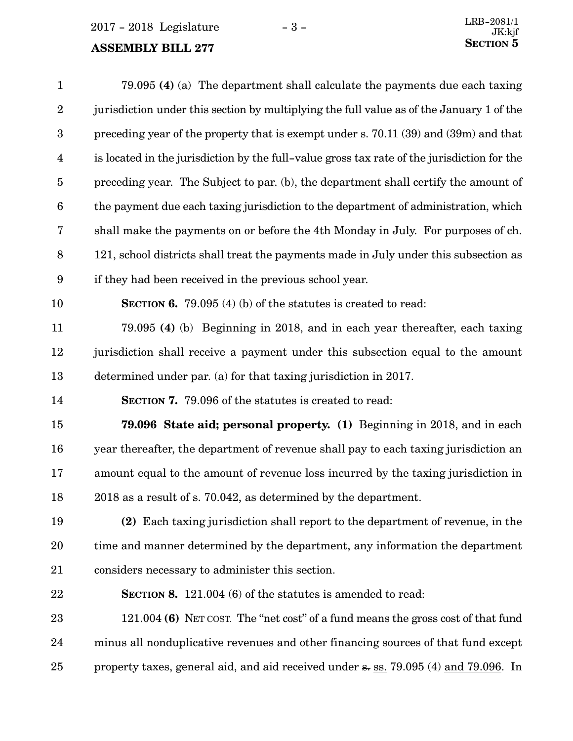### **ASSEMBLY BILL 277**

| $\mathbf{1}$            | 79.095 (4) (a) The department shall calculate the payments due each taxing                  |
|-------------------------|---------------------------------------------------------------------------------------------|
| $\boldsymbol{2}$        | jurisdiction under this section by multiplying the full value as of the January 1 of the    |
| $\boldsymbol{3}$        | preceding year of the property that is exempt under s. 70.11 (39) and (39m) and that        |
| $\overline{\mathbf{4}}$ | is located in the jurisdiction by the full-value gross tax rate of the jurisdiction for the |
| $\overline{5}$          | preceding year. The Subject to par. (b), the department shall certify the amount of         |
| $\boldsymbol{6}$        | the payment due each taxing jurisdiction to the department of administration, which         |
| 7                       | shall make the payments on or before the 4th Monday in July. For purposes of ch.            |
| $8\,$                   | 121, school districts shall treat the payments made in July under this subsection as        |
| $\boldsymbol{9}$        | if they had been received in the previous school year.                                      |
| 10                      | <b>SECTION 6.</b> 79.095 (4) (b) of the statures is created to read:                        |
| 11                      | 79.095 (4) (b) Beginning in 2018, and in each year thereafter, each taxing                  |
| 12                      | jurisdiction shall receive a payment under this subsection equal to the amount              |
| 13                      | determined under par. (a) for that taxing jurisdiction in 2017.                             |
| 14                      | <b>SECTION 7.</b> 79.096 of the statutes is created to read:                                |
| 15                      | <b>79.096 State aid; personal property.</b> (1) Beginning in 2018, and in each              |
| 16                      | year thereafter, the department of revenue shall pay to each taxing jurisdiction an         |
| 17                      | amount equal to the amount of revenue loss incurred by the taxing jurisdiction in           |
| 18                      | 2018 as a result of s. 70.042, as determined by the department.                             |
| 19                      | (2) Each taxing jurisdiction shall report to the department of revenue, in the              |
| 20                      | time and manner determined by the department, any information the department                |
| 21                      | considers necessary to administer this section.                                             |
| 22                      | <b>SECTION 8.</b> 121.004 (6) of the statutes is amended to read:                           |
| 23                      | 121.004 (6) NET COST. The "net cost" of a fund means the gross cost of that fund            |
| 24                      | minus all nonduplicative revenues and other financing sources of that fund except           |
| 25                      | property taxes, general aid, and aid received under s. ss. 79.095 (4) and 79.096. In        |